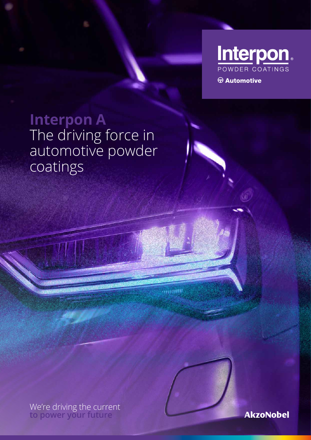

**Interpon A** The driving force in

automotive powder

coatings

We're driving the current **to power your future**



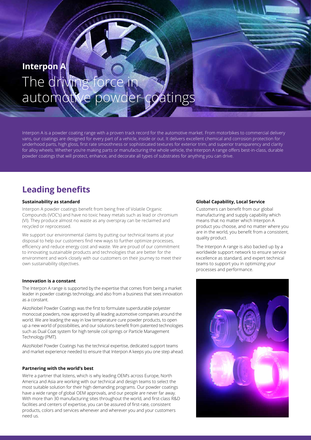# **Interpon A** The driving f automotive powder coatings

Interpon A is a powder coating range with a proven track record for the automotive market. From motorbikes to commercial delivery vans, our coatings are designed for every part of a vehicle, inside or out. It delivers excellent chemical and corrosion protection for underhood parts, high gloss, first rate smoothness or sophisticated textures for exterior trim, and superior transparency and clarity for alloy wheels. Whether you're making parts or manufacturing the whole vehicle, the Interpon A range offers best-in-class, durable powder coatings that will protect, enhance, and decorate all types of substrates for anything you can drive.

# **Leading benefits**

### **Sustainability as standard**

Interpon A powder coatings benefit from being free of Volatile Organic Compounds (VOC's) and have no toxic heavy metals such as lead or chromium (VI). They produce almost no waste as any overspray can be reclaimed and recycled or reprocessed.

We support our environmental claims by putting our technical teams at your disposal to help our customers find new ways to further optimize processes, efficiency and reduce energy cost and waste. We are proud of our commitment to innovating sustainable products and technologies that are better for the environment and work closely with our customers on their journey to meet their own sustainability objectives.

### **Innovation is a constant**

The Interpon A range is supported by the expertise that comes from being a market leader in powder coatings technology, and also from a business that sees innovation as a constant.

AkzoNobel Powder Coatings was the first to formulate superdurable polyester monocoat powders, now approved by all leading automotive companies around the world. We are leading the way in low temperature cure powder products, to open up a new world of possibilities, and our solutions benefit from patented technologies such as Dual Coat system for high tensile coil springs or Particle Management Technology (PMT).

AkzoNobel Powder Coatings has the technical expertise, dedicated support teams and market experience needed to ensure that Interpon A keeps you one step ahead.

### **Partnering with the world's best**

We're a partner that listens, which is why leading OEM's across Europe, North America and Asia are working with our technical and design teams to select the most suitable solution for their high demanding programs. Our powder coatings have a wide range of global OEM approvals, and our people are never far away. With more than 30 manufacturing sites throughout the world, and first-class R&D facilities and centers of expertise, you can be assured of first-rate, consistent products, colors and services whenever and wherever you and your customers need us.

### **Global Capability, Local Service**

Customers can benefit from our global manufacturing and supply capability which means that no matter which Interpon A product you choose, and no matter where you are in the world, you benefit from a consistent, quality product.

The Interpon A range is also backed up by a worldwide support network to ensure service excellence as standard, and expert technical teams to support you in optimizing your processes and performance.

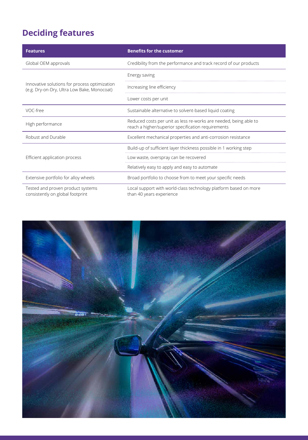# **Deciding features**

| <b>Features</b>                                                                              | <b>Benefits for the customer</b>                                                                                        |
|----------------------------------------------------------------------------------------------|-------------------------------------------------------------------------------------------------------------------------|
| Global OEM approvals                                                                         | Credibility from the performance and track record of our products                                                       |
| Innovative solutions for process optimization<br>(e.g. Dry-on-Dry, Ultra Low Bake, Monocoat) | Energy saving                                                                                                           |
|                                                                                              | Increasing line efficiency                                                                                              |
|                                                                                              | Lower costs per unit                                                                                                    |
| VOC-free                                                                                     | Sustainable alternative to solvent-based liquid coating                                                                 |
| High performance                                                                             | Reduced costs per unit as less re-works are needed, being able to<br>reach a higher/superior specification requirements |
| Robust and Durable                                                                           | Excellent mechanical properties and anti-corrosion resistance                                                           |
| Efficient application process                                                                | Build-up of sufficient layer thickness possible in 1 working step                                                       |
|                                                                                              | Low waste, overspray can be recovered                                                                                   |
|                                                                                              | Relatively easy to apply and easy to automate                                                                           |
| Extensive portfolio for alloy wheels                                                         | Broad portfolio to choose from to meet your specific needs                                                              |
| Tested and proven product systems<br>consistently on global footprint                        | Local support with world-class technology platform based on more<br>than 40 years experience                            |

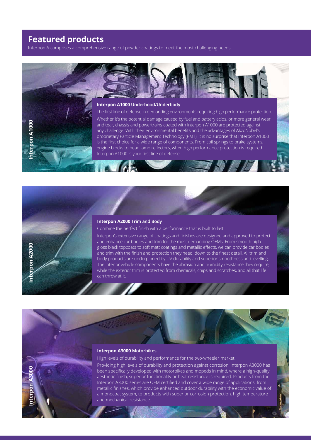# **Featured products**

Interpon A comprises a comprehensive range of powder coatings to meet the most challenging needs.



### **Interpon A2000 Trim and Body**

Combine the perfect finish with a performance that is built to last.

Interpon's extensive range of coatings and finishes are designed and approved to protect and enhance car bodies and trim for the most demanding OEMs. From smooth highgloss black topcoats to soft matt coatings and metallic effects, we can provide car bodies and trim with the finish and protection they need, down to the finest detail. All trim and body products are underpinned by UV durability and superior smoothness and levelling. The interior vehicle components have the abrasion and humidity resistance they require, while the exterior trim is protected from chemicals, chips and scratches, and all that life can throw at it.



**Interpon A3000**

**DODSA NOO** 

High levels of durability and performance for the two-wheeler market.

Providing high levels of durability and protection against corrosion, Interpon A3000 has been specifically developed with motorbikes and mopeds in mind, where a high-quality aesthetic finish, superior functionality or heat resistance is required. Products from the Interpon A3000 series are OEM certified and cover a wide range of applications; from metallic finishes, which provide enhanced outdoor durability with the economic value of a monocoat system, to products with superior corrosion protection, high temperature and mechanical resistance.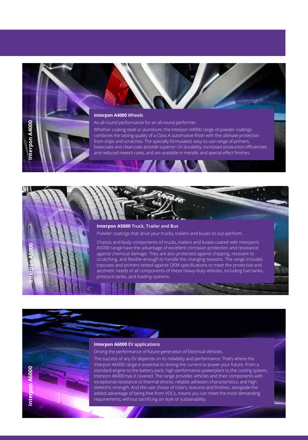# **Interpon A4000 Wheels**

**Interpon A4000**

erpon A4000

on A6000

Inter

## An all-round performance for an all-round performer.

Whether coating steel or aluminum, the Interpon A4000 range of powder coatings combines the lasting quality of a Class A automotive finish with the ultimate protection from chips and scratches. The specially formulated, easy-to-use range of primers, basecoats and clearcoats provide superior UV durability, increased production efficiencies and reduced rework rates, and are available in metallic and special effect finishes.

# **Interpon A6000 Interpon A5000**

### **Interpon A5000 Truck, Trailer and Bus**

Powder coatings that drive your trucks, trailers and buses to out-perform.

Chassis and body components of trucks, trailers and buses coated with Interpon's A5000 range have the advantage of excellent corrosion protection and resistance against chemical damage. They are also protected against chipping, resistant to scratching, and flexible enough to handle the changing seasons. The range includes topcoats and primers tested against OEM specifications to meet the protective and aesthetic needs of all components of these heavy-duty vehicles, including fuel tanks, pressure tanks, and loading systems.

### **Interpon A6000 EV applications**

Driving the performance of future generation of Electrical Vehicles.

The success of any EV depends on its reliability and performance. That's where the Interpon A6000 range is essential to driving the current to power your future. From a standard engine to the battery pack, high-performance powerplant to the cooling system, Interpon A6000 has it covered. The range provides vehicles and their components with exceptional resistance to thermal shocks, reliable adhesion characteristics, and high dielectric strength. And the vast choice of colors, textures and finishes, alongside the added advantage of being free from VOCs, means you can meet the most demanding requirements, without sacrificing on style or sustainability.